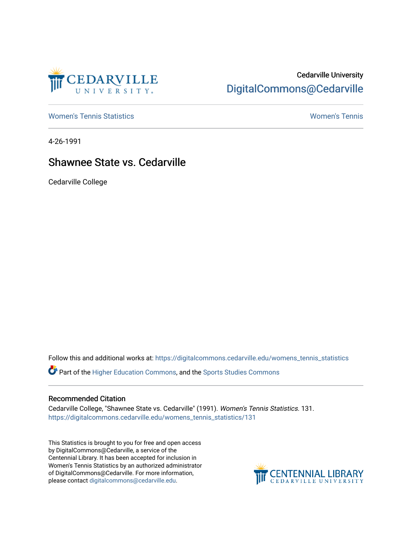

## Cedarville University [DigitalCommons@Cedarville](https://digitalcommons.cedarville.edu/)

[Women's Tennis Statistics](https://digitalcommons.cedarville.edu/womens_tennis_statistics) [Women's Tennis](https://digitalcommons.cedarville.edu/womens_tennis) 

4-26-1991

## Shawnee State vs. Cedarville

Cedarville College

Follow this and additional works at: [https://digitalcommons.cedarville.edu/womens\\_tennis\\_statistics](https://digitalcommons.cedarville.edu/womens_tennis_statistics?utm_source=digitalcommons.cedarville.edu%2Fwomens_tennis_statistics%2F131&utm_medium=PDF&utm_campaign=PDFCoverPages) 

Part of the [Higher Education Commons,](http://network.bepress.com/hgg/discipline/1245?utm_source=digitalcommons.cedarville.edu%2Fwomens_tennis_statistics%2F131&utm_medium=PDF&utm_campaign=PDFCoverPages) and the [Sports Studies Commons](http://network.bepress.com/hgg/discipline/1198?utm_source=digitalcommons.cedarville.edu%2Fwomens_tennis_statistics%2F131&utm_medium=PDF&utm_campaign=PDFCoverPages) 

## Recommended Citation

Cedarville College, "Shawnee State vs. Cedarville" (1991). Women's Tennis Statistics. 131. [https://digitalcommons.cedarville.edu/womens\\_tennis\\_statistics/131](https://digitalcommons.cedarville.edu/womens_tennis_statistics/131?utm_source=digitalcommons.cedarville.edu%2Fwomens_tennis_statistics%2F131&utm_medium=PDF&utm_campaign=PDFCoverPages) 

This Statistics is brought to you for free and open access by DigitalCommons@Cedarville, a service of the Centennial Library. It has been accepted for inclusion in Women's Tennis Statistics by an authorized administrator of DigitalCommons@Cedarville. For more information, please contact [digitalcommons@cedarville.edu](mailto:digitalcommons@cedarville.edu).